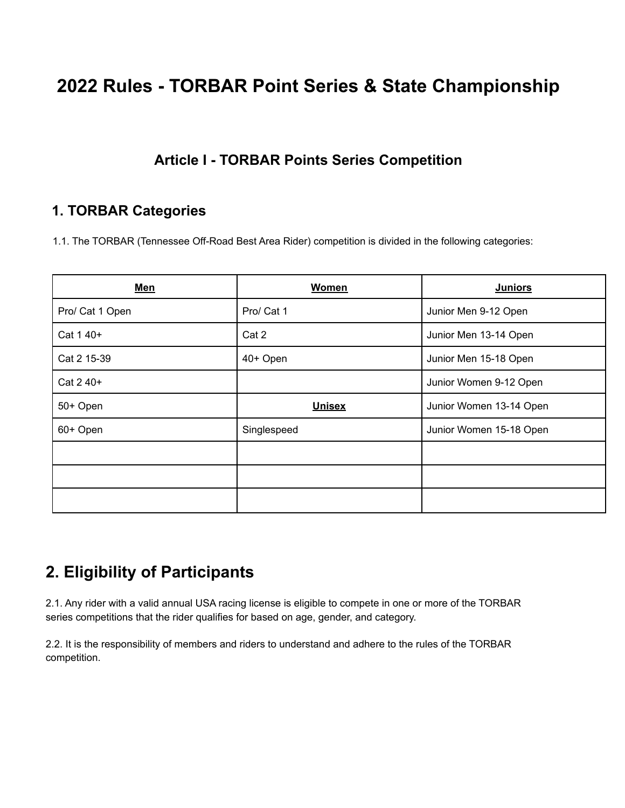# **2022 Rules - TORBAR Point Series & State Championship**

#### **Article I - TORBAR Points Series Competition**

#### **1. TORBAR Categories**

1.1. The TORBAR (Tennessee Off-Road Best Area Rider) competition is divided in the following categories:

| <b>Men</b>      | <b>Women</b>  | <b>Juniors</b>          |
|-----------------|---------------|-------------------------|
| Pro/ Cat 1 Open | Pro/ Cat 1    | Junior Men 9-12 Open    |
| Cat 1 40+       | Cat 2         | Junior Men 13-14 Open   |
| Cat 2 15-39     | 40+ Open      | Junior Men 15-18 Open   |
| Cat 2 40+       |               | Junior Women 9-12 Open  |
| 50+ Open        | <b>Unisex</b> | Junior Women 13-14 Open |
| 60+ Open        | Singlespeed   | Junior Women 15-18 Open |
|                 |               |                         |
|                 |               |                         |
|                 |               |                         |

#### **2. Eligibility of Participants**

2.1. Any rider with a valid annual USA racing license is eligible to compete in one or more of the TORBAR series competitions that the rider qualifies for based on age, gender, and category.

2.2. It is the responsibility of members and riders to understand and adhere to the rules of the TORBAR competition.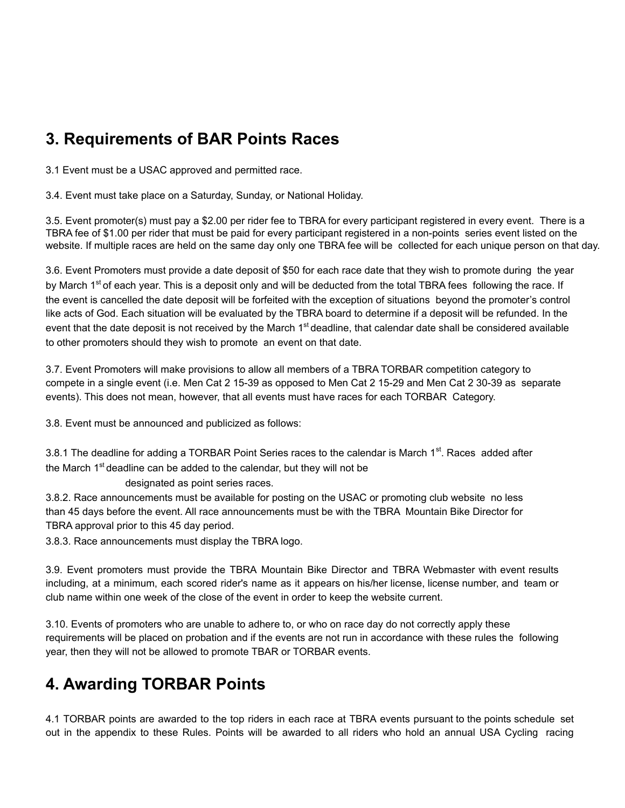## **3. Requirements of BAR Points Races**

3.1 Event must be a USAC approved and permitted race.

3.4. Event must take place on a Saturday, Sunday, or National Holiday.

3.5. Event promoter(s) must pay a \$2.00 per rider fee to TBRA for every participant registered in every event. There is a TBRA fee of \$1.00 per rider that must be paid for every participant registered in a non-points series event listed on the website. If multiple races are held on the same day only one TBRA fee will be collected for each unique person on that day.

3.6. Event Promoters must provide a date deposit of \$50 for each race date that they wish to promote during the year by March 1<sup>st</sup> of each year. This is a deposit only and will be deducted from the total TBRA fees following the race. If the event is cancelled the date deposit will be forfeited with the exception of situations beyond the promoter's control like acts of God. Each situation will be evaluated by the TBRA board to determine if a deposit will be refunded. In the event that the date deposit is not received by the March 1<sup>st</sup> deadline, that calendar date shall be considered available to other promoters should they wish to promote an event on that date.

3.7. Event Promoters will make provisions to allow all members of a TBRA TORBAR competition category to compete in a single event (i.e. Men Cat 2 15-39 as opposed to Men Cat 2 15-29 and Men Cat 2 30-39 as separate events). This does not mean, however, that all events must have races for each TORBAR Category.

3.8. Event must be announced and publicized as follows:

3.8.1 The deadline for adding a TORBAR Point Series races to the calendar is March 1<sup>st</sup>. Races added after the March 1<sup>st</sup> deadline can be added to the calendar, but they will not be

designated as point series races.

3.8.2. Race announcements must be available for posting on the USAC or promoting club website no less than 45 days before the event. All race announcements must be with the TBRA Mountain Bike Director for TBRA approval prior to this 45 day period.

3.8.3. Race announcements must display the TBRA logo.

3.9. Event promoters must provide the TBRA Mountain Bike Director and TBRA Webmaster with event results including, at a minimum, each scored rider's name as it appears on his/her license, license number, and team or club name within one week of the close of the event in order to keep the website current.

3.10. Events of promoters who are unable to adhere to, or who on race day do not correctly apply these requirements will be placed on probation and if the events are not run in accordance with these rules the following year, then they will not be allowed to promote TBAR or TORBAR events.

## **4. Awarding TORBAR Points**

4.1 TORBAR points are awarded to the top riders in each race at TBRA events pursuant to the points schedule set out in the appendix to these Rules. Points will be awarded to all riders who hold an annual USA Cycling racing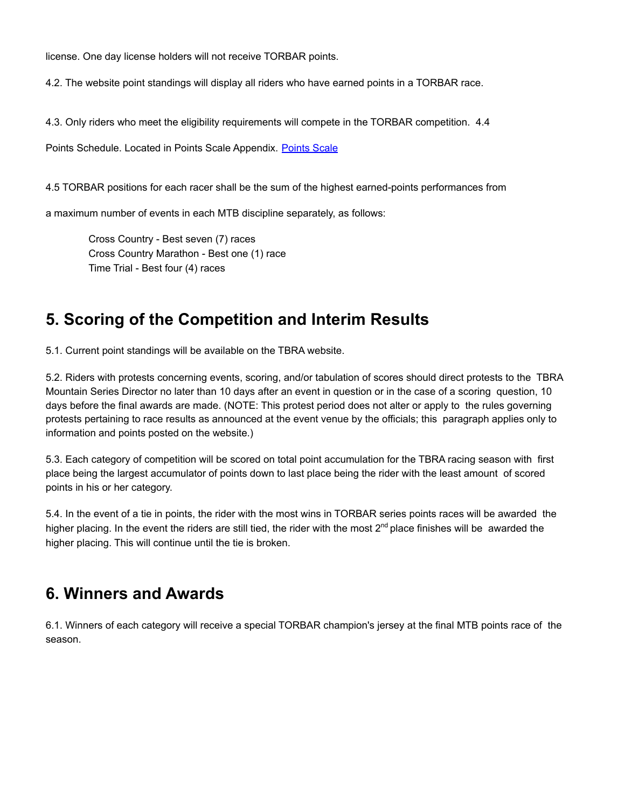license. One day license holders will not receive TORBAR points.

4.2. The website point standings will display all riders who have earned points in a TORBAR race.

4.3. Only riders who meet the eligibility requirements will compete in the TORBAR competition. 4.4

Points Schedule. Located in Points Scale Appendix. Points Scale

4.5 TORBAR positions for each racer shall be the sum of the highest earned-points performances from

a maximum number of events in each MTB discipline separately, as follows:

Cross Country - Best seven (7) races Cross Country Marathon - Best one (1) race Time Trial - Best four (4) races

#### **5. Scoring of the Competition and Interim Results**

5.1. Current point standings will be available on the TBRA website.

5.2. Riders with protests concerning events, scoring, and/or tabulation of scores should direct protests to the TBRA Mountain Series Director no later than 10 days after an event in question or in the case of a scoring question, 10 days before the final awards are made. (NOTE: This protest period does not alter or apply to the rules governing protests pertaining to race results as announced at the event venue by the officials; this paragraph applies only to information and points posted on the website.)

5.3. Each category of competition will be scored on total point accumulation for the TBRA racing season with first place being the largest accumulator of points down to last place being the rider with the least amount of scored points in his or her category.

5.4. In the event of a tie in points, the rider with the most wins in TORBAR series points races will be awarded the higher placing. In the event the riders are still tied, the rider with the most  $2^{nd}$  place finishes will be awarded the higher placing. This will continue until the tie is broken.

#### **6. Winners and Awards**

6.1. Winners of each category will receive a special TORBAR champion's jersey at the final MTB points race of the season.